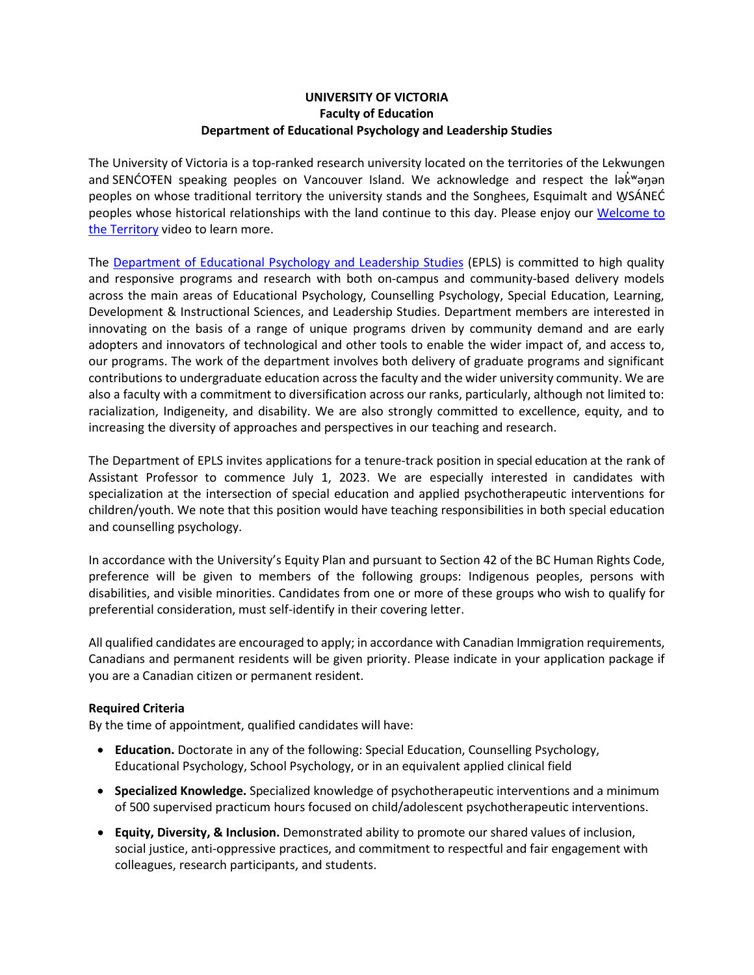# **UNIVERSITY OF VICTORIA Faculty of Education Department of Educational Psychology and Leadership Studies**

The University of Victoria is a top-ranked research university located on the territories of the Lekwungen and SENĆOTEN speaking peoples on Vancouver Island. We acknowledge and respect the lakwanan peoples on whose traditional territory the university stands and the Songhees, Esquimalt and WSÁNEĆ peoples whose historical relationships with the land continue to this day. Please enjoy our Welcome to the Territory video to learn more.

The Department of Educational Psychology and Leadership Studies (EPLS) is committed to high quality and responsive programs and research with both on-campus and community-based delivery models across the main areas of Educational Psychology, Counselling Psychology, Special Education, Learning, Development & Instructional Sciences, and Leadership Studies. Department members are interested in innovating on the basis of a range of unique programs driven by community demand and are early adopters and innovators of technological and other tools to enable the wider impact of, and access to, our programs. The work of the department involves both delivery of graduate programs and significant contributions to undergraduate education across the faculty and the wider university community. We are also a faculty with a commitment to diversification across our ranks, particularly, although not limited to: racialization, Indigeneity, and disability. We are also strongly committed to excellence, equity, and to increasing the diversity of approaches and perspectives in our teaching and research.

The Department of EPLS invites applications for a tenure-track position in special education at the rank of Assistant Professor to commence July 1, 2023. We are especially interested in candidates with specialization at the intersection of special education and applied psychotherapeutic interventions for children/youth. We note that this position would have teaching responsibilities in both special education and counselling psychology.

In accordance with the University's Equity Plan and pursuant to Section 42 of the BC Human Rights Code, preference will be given to members of the following groups: Indigenous peoples, persons with disabilities, and visible minorities. Candidates from one or more of these groups who wish to qualify for preferential consideration, must self-identify in their covering letter.

All qualified candidates are encouraged to apply; in accordance with Canadian Immigration requirements, Canadians and permanent residents will be given priority. Please indicate in your application package if you are a Canadian citizen or permanent resident.

#### **Required Criteria**

By the time of appointment, qualified candidates will have:

- **Education.** Doctorate in any of the following: Special Education, Counselling Psychology, Educational Psychology, School Psychology, or in an equivalent applied clinical field
- **Specialized Knowledge.** Specialized knowledge of psychotherapeutic interventions and a minimum of 500 supervised practicum hours focused on child/adolescent psychotherapeutic interventions.
- **Equity, Diversity, & Inclusion.** Demonstrated ability to promote our shared values of inclusion, social justice, anti-oppressive practices, and commitment to respectful and fair engagement with colleagues, research participants, and students.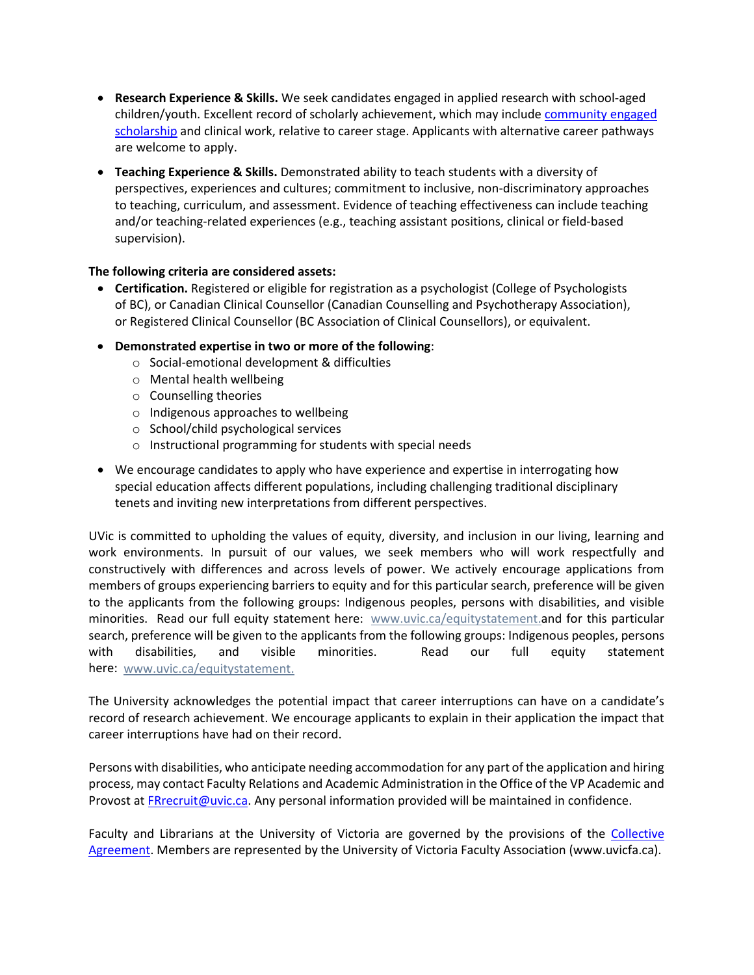- **Research Experience & Skills.** We seek candidates engaged in applied research with school-aged children/youth. Excellent record of scholarly achievement, which may include community engaged scholarship and clinical work, relative to career stage. Applicants with alternative career pathways are welcome to apply.
- **Teaching Experience & Skills.** Demonstrated ability to teach students with a diversity of perspectives, experiences and cultures; commitment to inclusive, non-discriminatory approaches to teaching, curriculum, and assessment. Evidence of teaching effectiveness can include teaching and/or teaching-related experiences (e.g., teaching assistant positions, clinical or field-based supervision).

#### **The following criteria are considered assets:**

- **Certification.** Registered or eligible for registration as a psychologist (College of Psychologists of BC), or Canadian Clinical Counsellor (Canadian Counselling and Psychotherapy Association), or Registered Clinical Counsellor (BC Association of Clinical Counsellors), or equivalent.
- **Demonstrated expertise in two or more of the following**:
	- o Social-emotional development & difficulties
	- o Mental health wellbeing
	- o Counselling theories
	- o Indigenous approaches to wellbeing
	- o School/child psychological services
	- o Instructional programming for students with special needs
- We encourage candidates to apply who have experience and expertise in interrogating how special education affects different populations, including challenging traditional disciplinary tenets and inviting new interpretations from different perspectives.

UVic is committed to upholding the values of equity, diversity, and inclusion in our living, learning and work environments. In pursuit of our values, we seek members who will work respectfully and constructively with differences and across levels of power. We actively encourage applications from members of groups experiencing barriers to equity and for this particular search, preference will be given to the applicants from the following groups: Indigenous peoples, persons with disabilities, and visible minorities. Read our full equity statement here: www.uvic.ca/equitystatement.and for this particular search, preference will be given to the applicants from the following groups: Indigenous peoples, persons with disabilities, and visible minorities. Read our full equity statement here: www.uvic.ca/equitystatement.

The University acknowledges the potential impact that career interruptions can have on a candidate's record of research achievement. We encourage applicants to explain in their application the impact that career interruptions have had on their record.

Persons with disabilities, who anticipate needing accommodation for any part of the application and hiring process, may contact Faculty Relations and Academic Administration in the Office of the VP Academic and Provost at FRrecruit@uvic.ca. Any personal information provided will be maintained in confidence.

Faculty and Librarians at the University of Victoria are governed by the provisions of the Collective Agreement. Members are represented by the University of Victoria Faculty Association (www.uvicfa.ca).